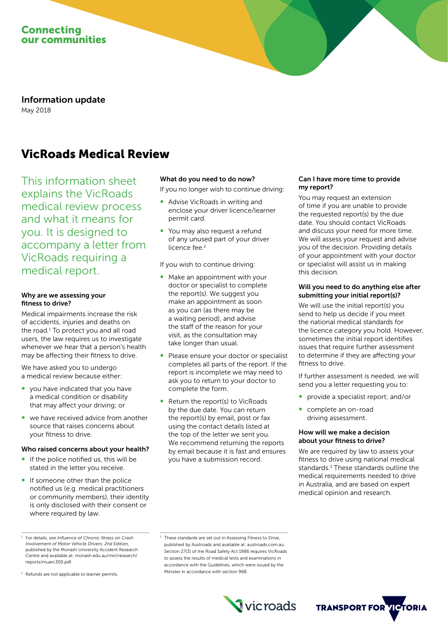

Information update May 2018

# VicRoads Medical Review

This information sheet explains the VicRoads medical review process and what it means for you. It is designed to accompany a letter from VicRoads requiring a medical report.

## Why are we assessing your fitness to drive?

Medical impairments increase the risk of accidents, injuries and deaths on the road.<sup>1</sup> To protect you and all road users, the law requires us to investigate whenever we hear that a person's health may be affecting their fitness to drive.

We have asked you to undergo a medical review because either:

- you have indicated that you have a medical condition or disability that may affect your driving; or
- we have received advice from another source that raises concerns about your fitness to drive.

#### Who raised concerns about your health?

- If the police notified us, this will be stated in the letter you receive.
- If someone other than the police notified us (e.g. medical practitioners or community members), their identity is only disclosed with their consent or where required by law.

<sup>2</sup> Refunds are not applicable to learner permits.

#### What do you need to do now?

If you no longer wish to continue driving:

- Advise VicRoads in writing and enclose your driver licence/learner permit card.
- You may also request a refund of any unused part of your driver licence fee.<sup>2</sup>

If you wish to continue driving:

- Make an appointment with your doctor or specialist to complete the report(s). We suggest you make an appointment as soon as you can (as there may be a waiting period), and advise the staff of the reason for your visit, as the consultation may take longer than usual.
- Please ensure your doctor or specialist completes all parts of the report. If the report is incomplete we may need to ask you to return to your doctor to complete the form.
- Return the report(s) to VicRoads by the due date. You can return the report(s) by email, post or fax using the contact details listed at the top of the letter we sent you. We recommend returning the reports by email because it is fast and ensures you have a submission record.

## Can I have more time to provide my report?

You may request an extension of time if you are unable to provide the requested report(s) by the due date. You should contact VicRoads and discuss your need for more time. We will assess your request and advise you of the decision. Providing details of your appointment with your doctor or specialist will assist us in making this decision.

#### Will you need to do anything else after submitting your initial report(s)?

We will use the initial report(s) you send to help us decide if you meet the national medical standards for the licence category you hold. However, sometimes the initial report identifies issues that require further assessment to determine if they are affecting your fitness to drive.

If further assessment is needed, we will send you a letter requesting you to:

- ∞ provide a specialist report; and/or
- complete an on-road driving assessment.

#### How will we make a decision about your fitness to drive?

We are required by law to assess your fitness to drive using national medical standards.<sup>3</sup> These standards outline the medical requirements needed to drive in Australia, and are based on expert medical opinion and research.

<sup>&</sup>lt;sup>3</sup> These standards are set out in Assessing Fitness to Drive, published by Austroads and available at: [austroads.com.au](http://www.austroads.com.au). Section 27(3) of the Road Safety Act 1986 requires VicRoads to assess the results of medical tests and examinations in accordance with the Guidelines, which were issued by the Minister in accordance with section 96B.





<sup>1</sup> For details, see *Influence of Chronic Illness on Crash Involvement of Motor Vehicle Drivers: 2nd Edition*, published by the Monash University Accident Research Centre and available at: monash.edu.au/miri/research/ reports/muarc300.pdf.